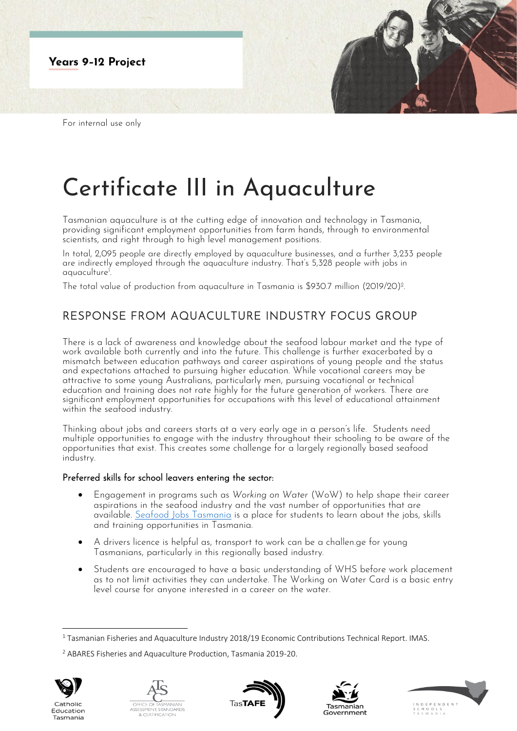

# Certificate III in Aquaculture

Tasmanian aquaculture is at the cutting edge of innovation and technology in Tasmania, providing significant employment opportunities from farm hands, through to environmental scientists, and right through to high level management positions.

In total, 2,095 people are directly employed by aquaculture businesses, and a further 3,233 people are indirectly employed through the aquaculture industry. That's 5,328 people with jobs in aquaculture<sup>1</sup> .

The total value of production from aquaculture in Tasmania is \$930.7 million (2019/20)<sup>2</sup> .

# RESPONSE FROM AQUACULTURE INDUSTRY FOCUS GROUP

There is a lack of awareness and knowledge about the seafood labour market and the type of work available both currently and into the future. This challenge is further exacerbated by a mismatch between education pathways and career aspirations of young people and the status and expectations attached to pursuing higher education. While vocational careers may be attractive to some young Australians, particularly men, pursuing vocational or technical education and training does not rate highly for the future generation of workers. There are significant employment opportunities for occupations with this level of educational attainment within the seafood industry.

Thinking about jobs and careers starts at a very early age in a person's life. Students need multiple opportunities to engage with the industry throughout their schooling to be aware of the opportunities that exist. This creates some challenge for a largely regionally based seafood industry.

## Preferred skills for school leavers entering the sector:

- Engagement in programs such as *Working on Water* (WoW) to help shape their career aspirations in the seafood industry and the vast number of opportunities that are available. [Seafood Jobs Tasmania](https://seafoodjobs.org/) is a place for students to learn about the jobs, skills and training opportunities in Tasmania.
- A drivers licence is helpful as, transport to work can be a challen.ge for young Tasmanians, particularly in this regionally based industry.
- Students are encouraged to have a basic understanding of WHS before work placement as to not limit activities they can undertake. The Working on Water Card is a basic entry level course for anyone interested in a career on the water.

<sup>2</sup> ABARES Fisheries and Aquaculture Production, Tasmania 2019-20.



Tasmania









 $1$  Tasmanian Fisheries and Aquaculture Industry 2018/19 Economic Contributions Technical Report. IMAS.